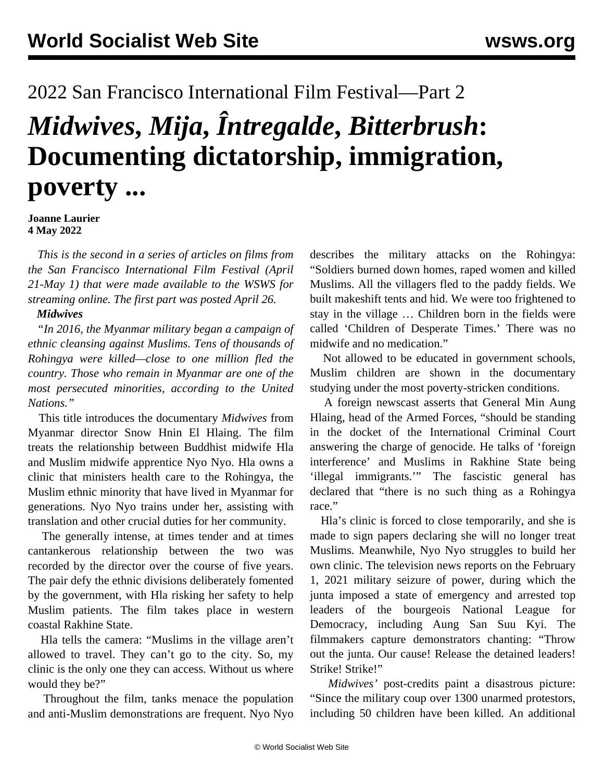## 2022 San Francisco International Film Festival—Part 2

# *Midwives***,** *Mija***,** *Întregalde***,** *Bitterbrush***: Documenting dictatorship, immigration, poverty ...**

**Joanne Laurier 4 May 2022**

 *This is the second in a series of articles on films from the San Francisco International Film Festival (April 21-May 1) that were made available to the WSWS for streaming online. The [first](/en/articles/2022/04/27/vcfq-a27.html) part was posted April 26.*

#### *Midwives*

 *"In 2016, the Myanmar military began a campaign of ethnic cleansing against Muslims. Tens of thousands of Rohingya were killed—close to one million fled the country. Those who remain in Myanmar are one of the most persecuted minorities, according to the United Nations."*

 This title introduces the documentary *Midwives* from Myanmar director Snow Hnin El Hlaing. The film treats the relationship between Buddhist midwife Hla and Muslim midwife apprentice Nyo Nyo. Hla owns a clinic that ministers health care to the Rohingya, the Muslim ethnic minority that have lived in Myanmar for generations. Nyo Nyo trains under her, assisting with translation and other crucial duties for her community.

 The generally intense, at times tender and at times cantankerous relationship between the two was recorded by the director over the course of five years. The pair defy the ethnic divisions deliberately fomented by the government, with Hla risking her safety to help Muslim patients. The film takes place in western coastal Rakhine State.

 Hla tells the camera: "Muslims in the village aren't allowed to travel. They can't go to the city. So, my clinic is the only one they can access. Without us where would they be?"

 Throughout the film, tanks menace the population and anti-Muslim demonstrations are frequent. Nyo Nyo

describes the military attacks on the Rohingya: "Soldiers burned down homes, raped women and killed Muslims. All the villagers fled to the paddy fields. We built makeshift tents and hid. We were too frightened to stay in the village … Children born in the fields were called 'Children of Desperate Times.' There was no midwife and no medication."

 Not allowed to be educated in government schools, Muslim children are shown in the documentary studying under the most poverty-stricken conditions.

 A foreign newscast asserts that General Min Aung Hlaing, head of the Armed Forces, "should be standing in the docket of the International Criminal Court answering the charge of genocide. He talks of 'foreign interference' and Muslims in Rakhine State being 'illegal immigrants.'" The fascistic general has declared that "there is no such thing as a Rohingya race."

 Hla's clinic is forced to close temporarily, and she is made to sign papers declaring she will no longer treat Muslims. Meanwhile, Nyo Nyo struggles to build her own clinic. The television news reports on the February 1, 2021 military seizure of power, during which the junta imposed a state of emergency and arrested top leaders of the bourgeois National League for Democracy, including Aung San Suu Kyi. The filmmakers capture demonstrators chanting: "Throw out the junta. Our cause! Release the detained leaders! Strike! Strike!"

 *Midwives'* post-credits paint a disastrous picture: "Since the military coup over 1300 unarmed protestors, including 50 children have been killed. An additional